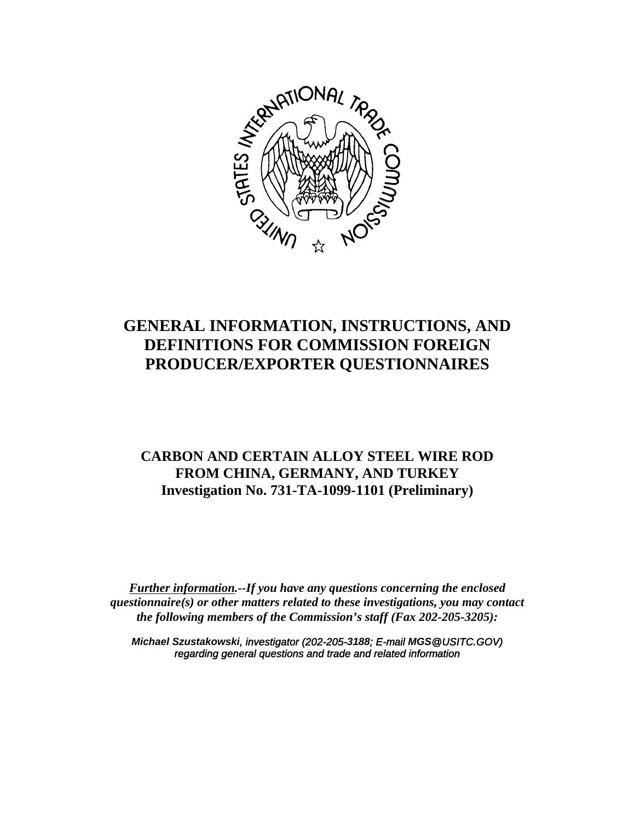

# **GENERAL INFORMATION, INSTRUCTIONS, AND DEFINITIONS FOR COMMISSION FOREIGN PRODUCER/EXPORTER QUESTIONNAIRES**

# **CARBON AND CERTAIN ALLOY STEEL WIRE ROD FROM CHINA, GERMANY, AND TURKEY Investigation No. 731-TA-1099-1101 (Preliminary)**

*Further information.--If you have any questions concerning the enclosed questionnaire(s) or other matters related to these investigations, you may contact the following members of the Commission's staff (Fax 202-205-3205):*

*Michael Szustakowski, investigator (202-205-3188; E-mail MGS@USITC.GOV) regarding general questions and trade and related information*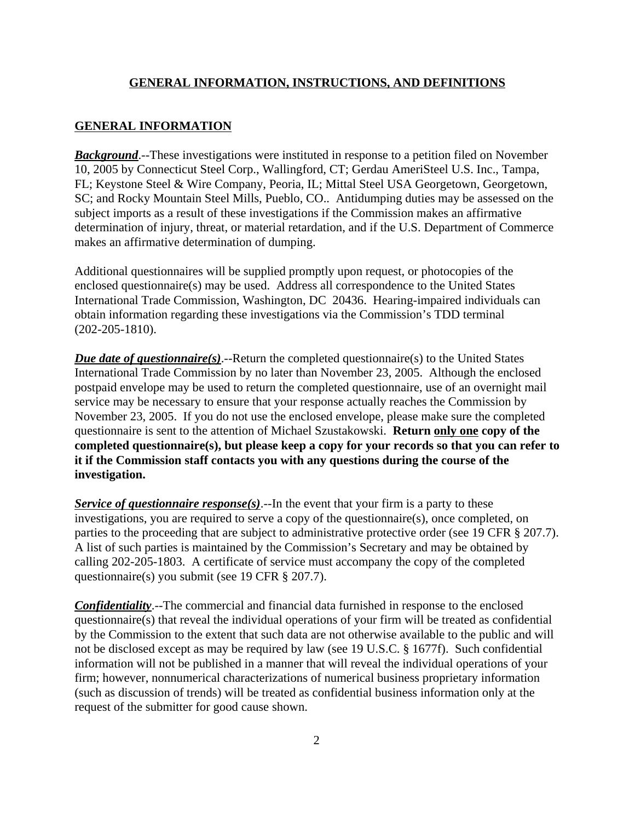### **GENERAL INFORMATION**

*Background*.--These investigations were instituted in response to a petition filed on November 10, 2005 by Connecticut Steel Corp., Wallingford, CT; Gerdau AmeriSteel U.S. Inc., Tampa, FL; Keystone Steel & Wire Company, Peoria, IL; Mittal Steel USA Georgetown, Georgetown, SC; and Rocky Mountain Steel Mills, Pueblo, CO.. Antidumping duties may be assessed on the subject imports as a result of these investigations if the Commission makes an affirmative determination of injury, threat, or material retardation, and if the U.S. Department of Commerce makes an affirmative determination of dumping.

Additional questionnaires will be supplied promptly upon request, or photocopies of the enclosed questionnaire(s) may be used. Address all correspondence to the United States International Trade Commission, Washington, DC 20436. Hearing-impaired individuals can obtain information regarding these investigations via the Commission's TDD terminal (202-205-1810).

*Due date of questionnaire(s)*.--Return the completed questionnaire(s) to the United States International Trade Commission by no later than November 23, 2005. Although the enclosed postpaid envelope may be used to return the completed questionnaire, use of an overnight mail service may be necessary to ensure that your response actually reaches the Commission by November 23, 2005. If you do not use the enclosed envelope, please make sure the completed questionnaire is sent to the attention of Michael Szustakowski. **Return only one copy of the completed questionnaire(s), but please keep a copy for your records so that you can refer to it if the Commission staff contacts you with any questions during the course of the investigation.**

*Service of questionnaire response(s)*.--In the event that your firm is a party to these investigations, you are required to serve a copy of the questionnaire(s), once completed, on parties to the proceeding that are subject to administrative protective order (see 19 CFR § 207.7). A list of such parties is maintained by the Commission's Secretary and may be obtained by calling 202-205-1803. A certificate of service must accompany the copy of the completed questionnaire(s) you submit (see 19 CFR § 207.7).

*Confidentiality*.--The commercial and financial data furnished in response to the enclosed questionnaire(s) that reveal the individual operations of your firm will be treated as confidential by the Commission to the extent that such data are not otherwise available to the public and will not be disclosed except as may be required by law (see 19 U.S.C. § 1677f). Such confidential information will not be published in a manner that will reveal the individual operations of your firm; however, nonnumerical characterizations of numerical business proprietary information (such as discussion of trends) will be treated as confidential business information only at the request of the submitter for good cause shown.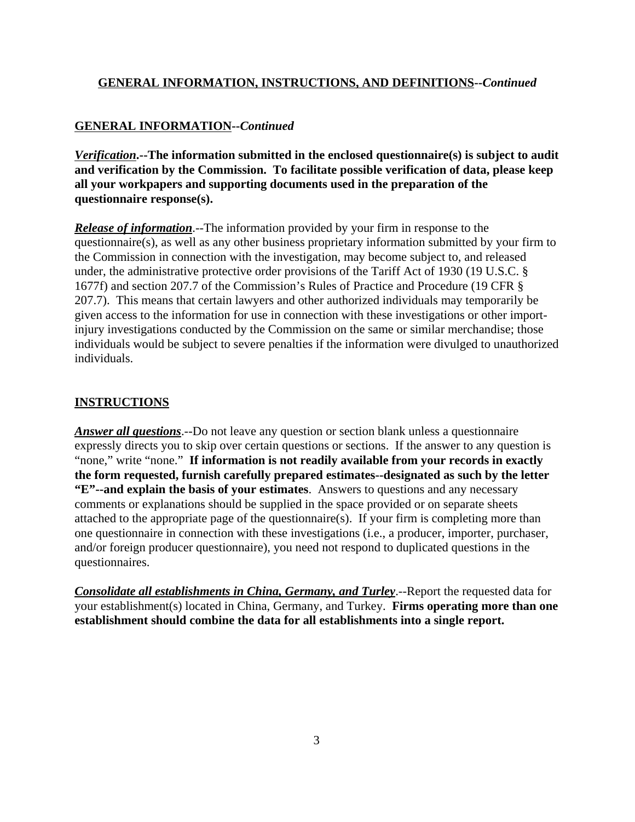# **GENERAL INFORMATION--***Continued*

*Verification***.--The information submitted in the enclosed questionnaire(s) is subject to audit and verification by the Commission. To facilitate possible verification of data, please keep all your workpapers and supporting documents used in the preparation of the questionnaire response(s).**

*Release of information*.--The information provided by your firm in response to the questionnaire(s), as well as any other business proprietary information submitted by your firm to the Commission in connection with the investigation, may become subject to, and released under, the administrative protective order provisions of the Tariff Act of 1930 (19 U.S.C. § 1677f) and section 207.7 of the Commission's Rules of Practice and Procedure (19 CFR § 207.7). This means that certain lawyers and other authorized individuals may temporarily be given access to the information for use in connection with these investigations or other importinjury investigations conducted by the Commission on the same or similar merchandise; those individuals would be subject to severe penalties if the information were divulged to unauthorized individuals.

## **INSTRUCTIONS**

*Answer all questions*.--Do not leave any question or section blank unless a questionnaire expressly directs you to skip over certain questions or sections. If the answer to any question is "none," write "none." **If information is not readily available from your records in exactly the form requested, furnish carefully prepared estimates--designated as such by the letter "E"--and explain the basis of your estimates**. Answers to questions and any necessary comments or explanations should be supplied in the space provided or on separate sheets attached to the appropriate page of the questionnaire(s). If your firm is completing more than one questionnaire in connection with these investigations (i.e., a producer, importer, purchaser, and/or foreign producer questionnaire), you need not respond to duplicated questions in the questionnaires.

*Consolidate all establishments in China, Germany, and Turley*.--Report the requested data for your establishment(s) located in China, Germany, and Turkey. **Firms operating more than one establishment should combine the data for all establishments into a single report.**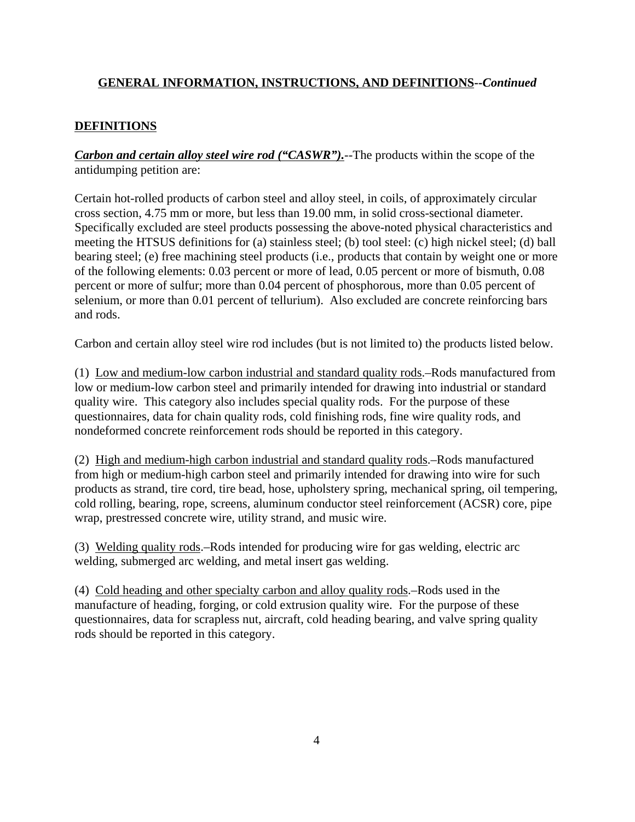# **DEFINITIONS**

*Carbon and certain alloy steel wire rod ("CASWR")*.--The products within the scope of the antidumping petition are:

Certain hot-rolled products of carbon steel and alloy steel, in coils, of approximately circular cross section, 4.75 mm or more, but less than 19.00 mm, in solid cross-sectional diameter. Specifically excluded are steel products possessing the above-noted physical characteristics and meeting the HTSUS definitions for (a) stainless steel; (b) tool steel: (c) high nickel steel; (d) ball bearing steel; (e) free machining steel products (i.e., products that contain by weight one or more of the following elements: 0.03 percent or more of lead, 0.05 percent or more of bismuth, 0.08 percent or more of sulfur; more than 0.04 percent of phosphorous, more than 0.05 percent of selenium, or more than 0.01 percent of tellurium). Also excluded are concrete reinforcing bars and rods.

Carbon and certain alloy steel wire rod includes (but is not limited to) the products listed below.

(1) Low and medium-low carbon industrial and standard quality rods.–Rods manufactured from low or medium-low carbon steel and primarily intended for drawing into industrial or standard quality wire. This category also includes special quality rods. For the purpose of these questionnaires, data for chain quality rods, cold finishing rods, fine wire quality rods, and nondeformed concrete reinforcement rods should be reported in this category.

(2) High and medium-high carbon industrial and standard quality rods.–Rods manufactured from high or medium-high carbon steel and primarily intended for drawing into wire for such products as strand, tire cord, tire bead, hose, upholstery spring, mechanical spring, oil tempering, cold rolling, bearing, rope, screens, aluminum conductor steel reinforcement (ACSR) core, pipe wrap, prestressed concrete wire, utility strand, and music wire.

(3) Welding quality rods.–Rods intended for producing wire for gas welding, electric arc welding, submerged arc welding, and metal insert gas welding.

(4) Cold heading and other specialty carbon and alloy quality rods.–Rods used in the manufacture of heading, forging, or cold extrusion quality wire. For the purpose of these questionnaires, data for scrapless nut, aircraft, cold heading bearing, and valve spring quality rods should be reported in this category.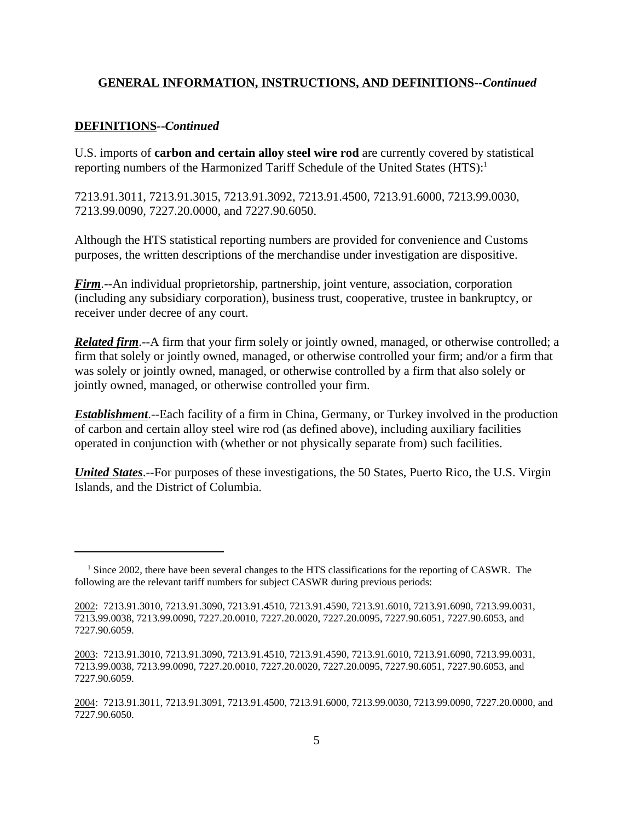### **DEFINITIONS--***Continued*

U.S. imports of **carbon and certain alloy steel wire rod** are currently covered by statistical reporting numbers of the Harmonized Tariff Schedule of the United States (HTS):<sup>1</sup>

7213.91.3011, 7213.91.3015, 7213.91.3092, 7213.91.4500, 7213.91.6000, 7213.99.0030, 7213.99.0090, 7227.20.0000, and 7227.90.6050.

Although the HTS statistical reporting numbers are provided for convenience and Customs purposes, the written descriptions of the merchandise under investigation are dispositive.

*Firm*.--An individual proprietorship, partnership, joint venture, association, corporation (including any subsidiary corporation), business trust, cooperative, trustee in bankruptcy, or receiver under decree of any court.

*Related firm*.--A firm that your firm solely or jointly owned, managed, or otherwise controlled; a firm that solely or jointly owned, managed, or otherwise controlled your firm; and/or a firm that was solely or jointly owned, managed, or otherwise controlled by a firm that also solely or jointly owned, managed, or otherwise controlled your firm.

*Establishment*.--Each facility of a firm in China, Germany, or Turkey involved in the production of carbon and certain alloy steel wire rod (as defined above), including auxiliary facilities operated in conjunction with (whether or not physically separate from) such facilities.

*United States*.--For purposes of these investigations, the 50 States, Puerto Rico, the U.S. Virgin Islands, and the District of Columbia.

<sup>&</sup>lt;sup>1</sup> Since 2002, there have been several changes to the HTS classifications for the reporting of CASWR. The following are the relevant tariff numbers for subject CASWR during previous periods:

<sup>2002: 7213.91.3010, 7213.91.3090, 7213.91.4510, 7213.91.4590, 7213.91.6010, 7213.91.6090, 7213.99.0031,</sup> 7213.99.0038, 7213.99.0090, 7227.20.0010, 7227.20.0020, 7227.20.0095, 7227.90.6051, 7227.90.6053, and 7227.90.6059.

<sup>2003: 7213.91.3010, 7213.91.3090, 7213.91.4510, 7213.91.4590, 7213.91.6010, 7213.91.6090, 7213.99.0031,</sup> 7213.99.0038, 7213.99.0090, 7227.20.0010, 7227.20.0020, 7227.20.0095, 7227.90.6051, 7227.90.6053, and 7227.90.6059.

<sup>2004: 7213.91.3011, 7213.91.3091, 7213.91.4500, 7213.91.6000, 7213.99.0030, 7213.99.0090, 7227.20.0000,</sup> and 7227.90.6050.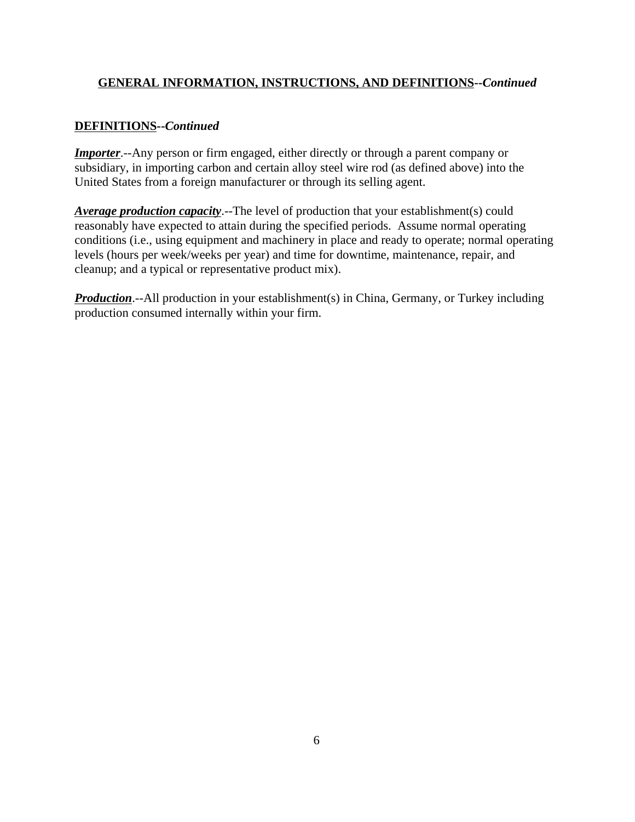# **DEFINITIONS--***Continued*

*Importer*.--Any person or firm engaged, either directly or through a parent company or subsidiary, in importing carbon and certain alloy steel wire rod (as defined above) into the United States from a foreign manufacturer or through its selling agent.

*Average production capacity*.--The level of production that your establishment(s) could reasonably have expected to attain during the specified periods. Assume normal operating conditions (i.e., using equipment and machinery in place and ready to operate; normal operating levels (hours per week/weeks per year) and time for downtime, maintenance, repair, and cleanup; and a typical or representative product mix).

**Production**.--All production in your establishment(s) in China, Germany, or Turkey including production consumed internally within your firm.